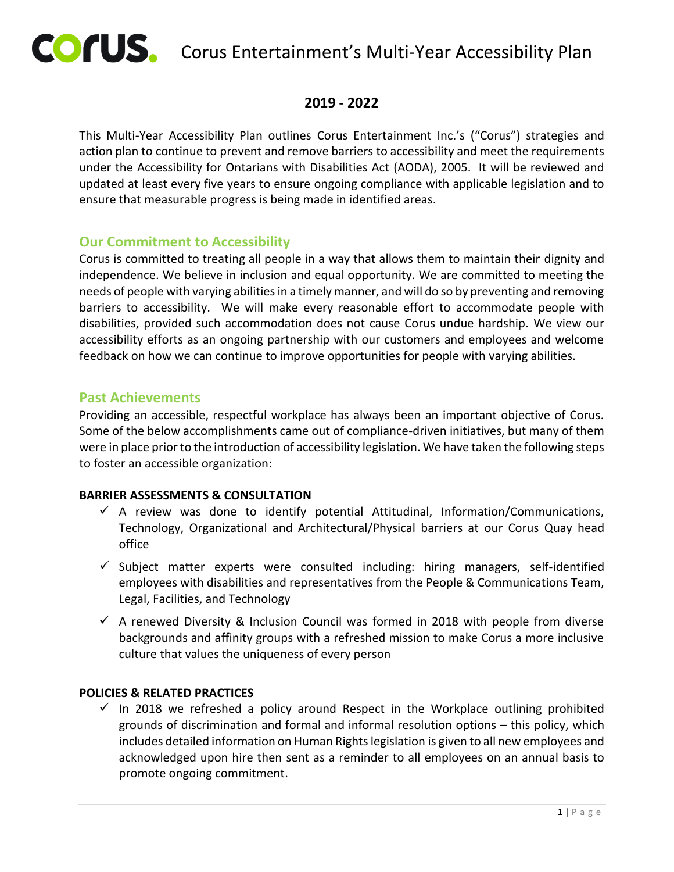

# COFUS. Corus Entertainment's Multi-Year Accessibility Plan

# **2019 - 2022**

This Multi-Year Accessibility Plan outlines Corus Entertainment Inc.'s ("Corus") strategies and action plan to continue to prevent and remove barriers to accessibility and meet the requirements under the Accessibility for Ontarians with Disabilities Act (AODA), 2005. It will be reviewed and updated at least every five years to ensure ongoing compliance with applicable legislation and to ensure that measurable progress is being made in identified areas.

# **Our Commitment to Accessibility**

Corus is committed to treating all people in a way that allows them to maintain their dignity and independence. We believe in inclusion and equal opportunity. We are committed to meeting the needs of people with varying abilities in a timely manner, and will do so by preventing and removing barriers to accessibility. We will make every reasonable effort to accommodate people with disabilities, provided such accommodation does not cause Corus undue hardship. We view our accessibility efforts as an ongoing partnership with our customers and employees and welcome feedback on how we can continue to improve opportunities for people with varying abilities.

## **Past Achievements**

Providing an accessible, respectful workplace has always been an important objective of Corus. Some of the below accomplishments came out of compliance-driven initiatives, but many of them were in place prior to the introduction of accessibility legislation. We have taken the following steps to foster an accessible organization:

## **BARRIER ASSESSMENTS & CONSULTATION**

- $\checkmark$  A review was done to identify potential Attitudinal, Information/Communications, Technology, Organizational and Architectural/Physical barriers at our Corus Quay head office
- $\checkmark$  Subject matter experts were consulted including: hiring managers, self-identified employees with disabilities and representatives from the People & Communications Team, Legal, Facilities, and Technology
- $\checkmark$  A renewed Diversity & Inclusion Council was formed in 2018 with people from diverse backgrounds and affinity groups with a refreshed mission to make Corus a more inclusive culture that values the uniqueness of every person

#### **POLICIES & RELATED PRACTICES**

 $\checkmark$  In 2018 we refreshed a policy around Respect in the Workplace outlining prohibited grounds of discrimination and formal and informal resolution options – this policy, which includes detailed information on Human Rights legislation is given to all new employees and acknowledged upon hire then sent as a reminder to all employees on an annual basis to promote ongoing commitment.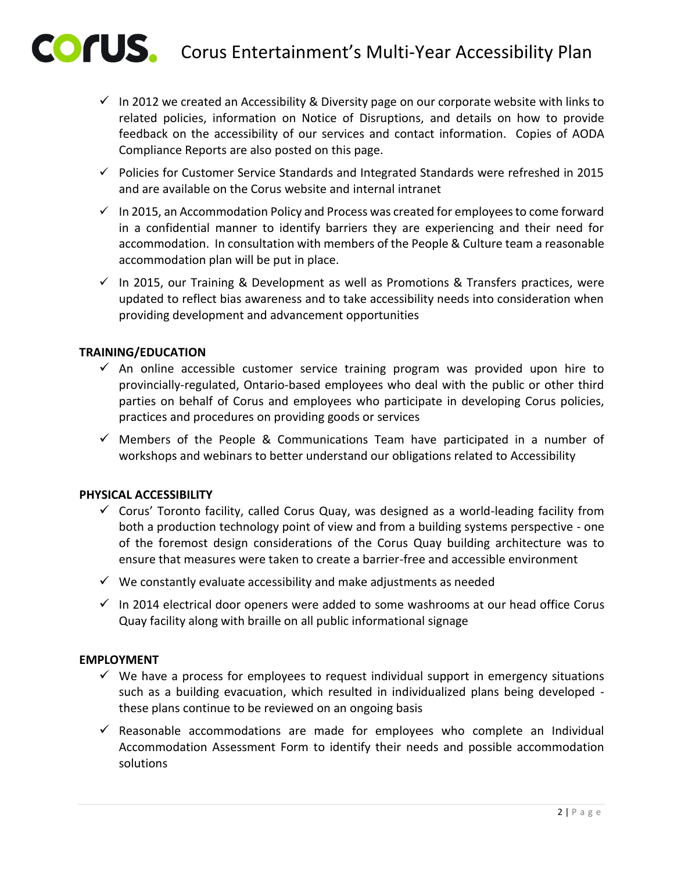- $\checkmark$  In 2012 we created an Accessibility & Diversity page on our corporate website with links to related policies, information on Notice of Disruptions, and details on how to provide feedback on the accessibility of our services and contact information. Copies of AODA Compliance Reports are also posted on this page.
- $\checkmark$  Policies for Customer Service Standards and Integrated Standards were refreshed in 2015 and are available on the Corus website and internal intranet
- $\checkmark$  In 2015, an Accommodation Policy and Process was created for employees to come forward in a confidential manner to identify barriers they are experiencing and their need for accommodation. In consultation with members of the People & Culture team a reasonable accommodation plan will be put in place.
- $\checkmark$  In 2015, our Training & Development as well as Promotions & Transfers practices, were updated to reflect bias awareness and to take accessibility needs into consideration when providing development and advancement opportunities

#### **TRAINING/EDUCATION**

- $\checkmark$  An online accessible customer service training program was provided upon hire to provincially-regulated, Ontario-based employees who deal with the public or other third parties on behalf of Corus and employees who participate in developing Corus policies, practices and procedures on providing goods or services
- $\checkmark$  Members of the People & Communications Team have participated in a number of workshops and webinars to better understand our obligations related to Accessibility

#### **PHYSICAL ACCESSIBILITY**

- $\checkmark$  Corus' Toronto facility, called Corus Quay, was designed as a world-leading facility from both a production technology point of view and from a building systems perspective - one of the foremost design considerations of the Corus Quay building architecture was to ensure that measures were taken to create a barrier-free and accessible environment
- $\checkmark$  We constantly evaluate accessibility and make adjustments as needed
- $\checkmark$  In 2014 electrical door openers were added to some washrooms at our head office Corus Quay facility along with braille on all public informational signage

#### **EMPLOYMENT**

- $\checkmark$  We have a process for employees to request individual support in emergency situations such as a building evacuation, which resulted in individualized plans being developed these plans continue to be reviewed on an ongoing basis
- $\checkmark$  Reasonable accommodations are made for employees who complete an Individual Accommodation Assessment Form to identify their needs and possible accommodation solutions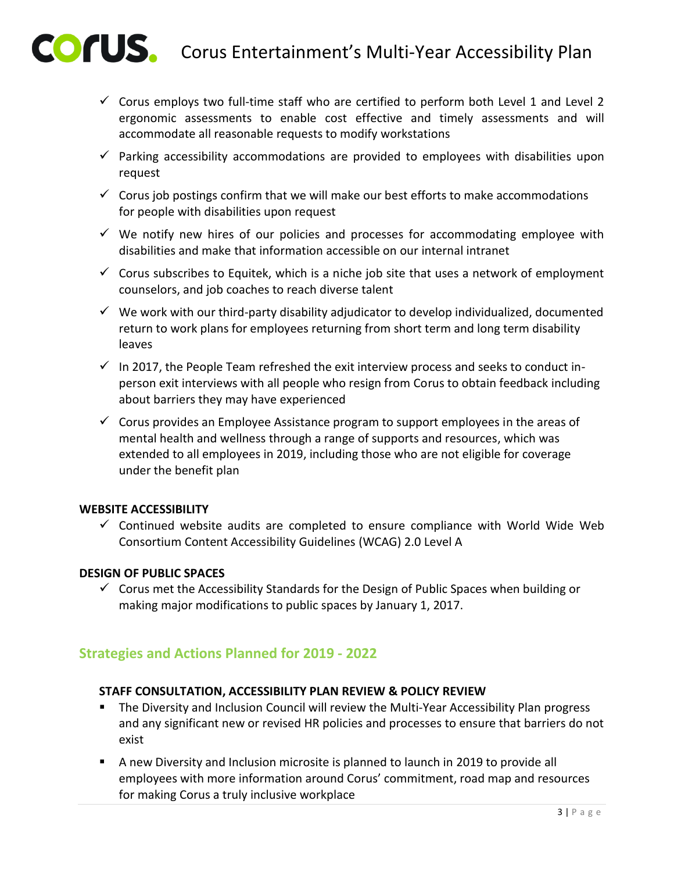- $\checkmark$  Corus employs two full-time staff who are certified to perform both Level 1 and Level 2 ergonomic assessments to enable cost effective and timely assessments and will accommodate all reasonable requests to modify workstations
- $\checkmark$  Parking accessibility accommodations are provided to employees with disabilities upon request
- $\checkmark$  Corus job postings confirm that we will make our best efforts to make accommodations for people with disabilities upon request
- $\checkmark$  We notify new hires of our policies and processes for accommodating employee with disabilities and make that information accessible on our internal intranet
- $\checkmark$  Corus subscribes to Equitek, which is a niche job site that uses a network of employment counselors, and job coaches to reach diverse talent
- $\checkmark$  We work with our third-party disability adjudicator to develop individualized, documented return to work plans for employees returning from short term and long term disability leaves
- $\checkmark$  In 2017, the People Team refreshed the exit interview process and seeks to conduct inperson exit interviews with all people who resign from Corus to obtain feedback including about barriers they may have experienced
- $\checkmark$  Corus provides an Employee Assistance program to support employees in the areas of mental health and wellness through a range of supports and resources, which was extended to all employees in 2019, including those who are not eligible for coverage under the benefit plan

## **WEBSITE ACCESSIBILITY**

 $\checkmark$  Continued website audits are completed to ensure compliance with World Wide Web Consortium Content Accessibility Guidelines (WCAG) 2.0 Level A

#### **DESIGN OF PUBLIC SPACES**

 $\checkmark$  Corus met the Accessibility Standards for the Design of Public Spaces when building or making major modifications to public spaces by January 1, 2017.

# **Strategies and Actions Planned for 2019 - 2022**

#### **STAFF CONSULTATION, ACCESSIBILITY PLAN REVIEW & POLICY REVIEW**

- The Diversity and Inclusion Council will review the Multi-Year Accessibility Plan progress and any significant new or revised HR policies and processes to ensure that barriers do not exist
- A new Diversity and Inclusion microsite is planned to launch in 2019 to provide all employees with more information around Corus' commitment, road map and resources for making Corus a truly inclusive workplace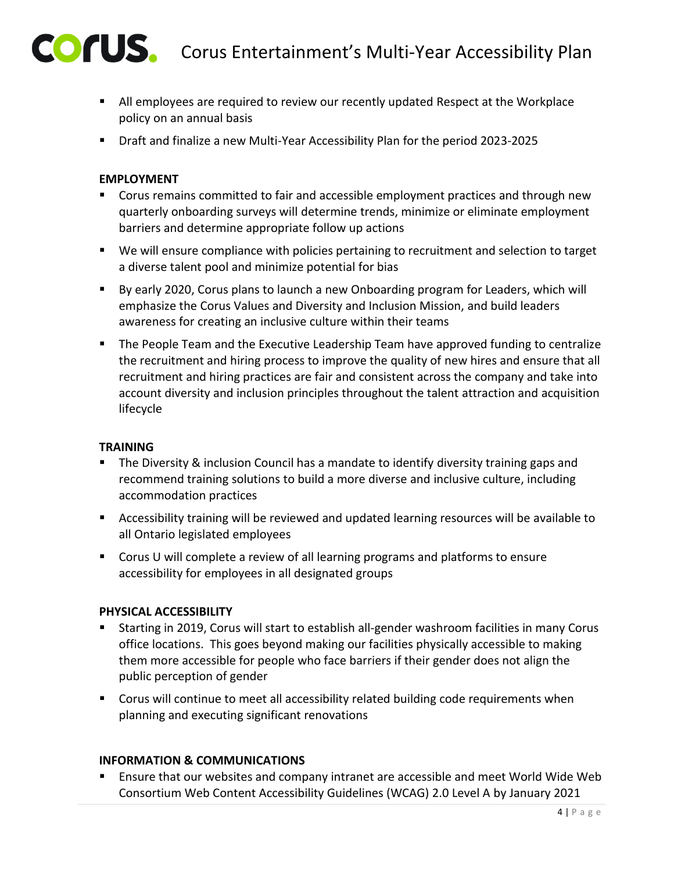

- All employees are required to review our recently updated Respect at the Workplace policy on an annual basis
- Draft and finalize a new Multi-Year Accessibility Plan for the period 2023-2025

## **EMPLOYMENT**

- Corus remains committed to fair and accessible employment practices and through new quarterly onboarding surveys will determine trends, minimize or eliminate employment barriers and determine appropriate follow up actions
- We will ensure compliance with policies pertaining to recruitment and selection to target a diverse talent pool and minimize potential for bias
- By early 2020, Corus plans to launch a new Onboarding program for Leaders, which will emphasize the Corus Values and Diversity and Inclusion Mission, and build leaders awareness for creating an inclusive culture within their teams
- **The People Team and the Executive Leadership Team have approved funding to centralize** the recruitment and hiring process to improve the quality of new hires and ensure that all recruitment and hiring practices are fair and consistent across the company and take into account diversity and inclusion principles throughout the talent attraction and acquisition lifecycle

## **TRAINING**

- The Diversity & inclusion Council has a mandate to identify diversity training gaps and recommend training solutions to build a more diverse and inclusive culture, including accommodation practices
- Accessibility training will be reviewed and updated learning resources will be available to all Ontario legislated employees
- **Corus U will complete a review of all learning programs and platforms to ensure** accessibility for employees in all designated groups

## **PHYSICAL ACCESSIBILITY**

- Starting in 2019, Corus will start to establish all-gender washroom facilities in many Corus office locations. This goes beyond making our facilities physically accessible to making them more accessible for people who face barriers if their gender does not align the public perception of gender
- **Corus will continue to meet all accessibility related building code requirements when** planning and executing significant renovations

## **INFORMATION & COMMUNICATIONS**

 Ensure that our websites and company intranet are accessible and meet World Wide Web Consortium Web Content Accessibility Guidelines (WCAG) 2.0 Level A by January 2021